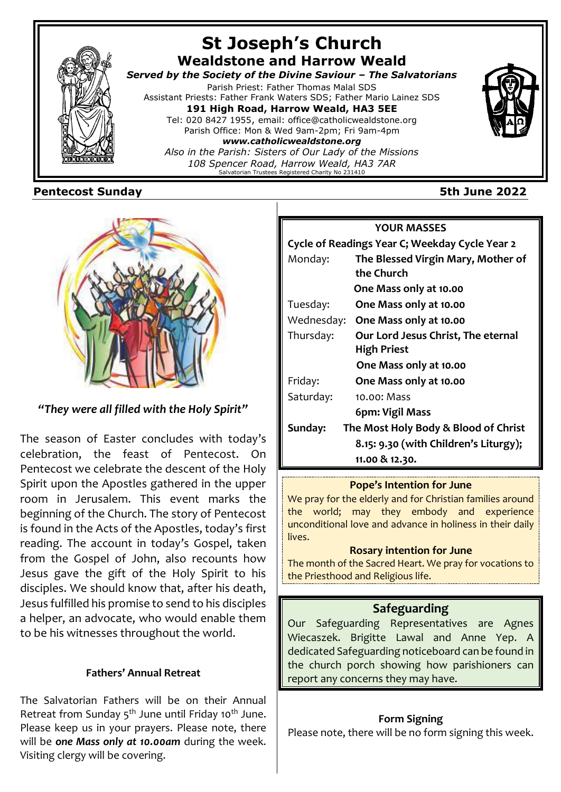

# **Pentecost Sunday 5th June 2022**



# *"They were all filled with the Holy Spirit"*

The season of Easter concludes with today's celebration, the feast of Pentecost. On Pentecost we celebrate the descent of the Holy Spirit upon the Apostles gathered in the upper room in Jerusalem. This event marks the beginning of the Church. The story of Pentecost is found in the Acts of the Apostles, today's first reading. The account in today's Gospel, taken from the Gospel of John, also recounts how Jesus gave the gift of the Holy Spirit to his disciples. We should know that, after his death, Jesus fulfilled his promise to send to his disciples a helper, an advocate, who would enable them to be his witnesses throughout the world.

# **Fathers' Annual Retreat**

The Salvatorian Fathers will be on their Annual Retreat from Sunday 5<sup>th</sup> June until Friday 10<sup>th</sup> June. Please keep us in your prayers. Please note, there will be *one Mass only at 10.00am* during the week. Visiting clergy will be covering.

# **YOUR MASSES Cycle of Readings Year C; Weekday Cycle Year 2** Monday: **The Blessed Virgin Mary, Mother of the Church One Mass only at 10.00** Tuesday: **One Mass only at 10.00** Wednesday: **One Mass only at 10.00** Thursday: **Our Lord Jesus Christ, The eternal High Priest One Mass only at 10.00** Friday: **One Mass only at 10.00** Saturday: 10.00: Mass  **6pm: Vigil Mass Sunday: The Most Holy Body & Blood of Christ 8.15: 9.30 (with Children's Liturgy); 11.00 & 12.30.**

# **Pope's Intention for June**

We pray for the elderly and for Christian families around the world; may they embody and experience unconditional love and advance in holiness in their daily lives.

## **Rosary intention for June**

The month of the Sacred Heart. We pray for vocations to the Priesthood and Religious life.

# **Safeguarding**

Our Safeguarding Representatives are Agnes Wiecaszek. Brigitte Lawal and Anne Yep. A dedicated Safeguarding noticeboard can be found in the church porch showing how parishioners can report any concerns they may have.

# **Form Signing**

Please note, there will be no form signing this week.